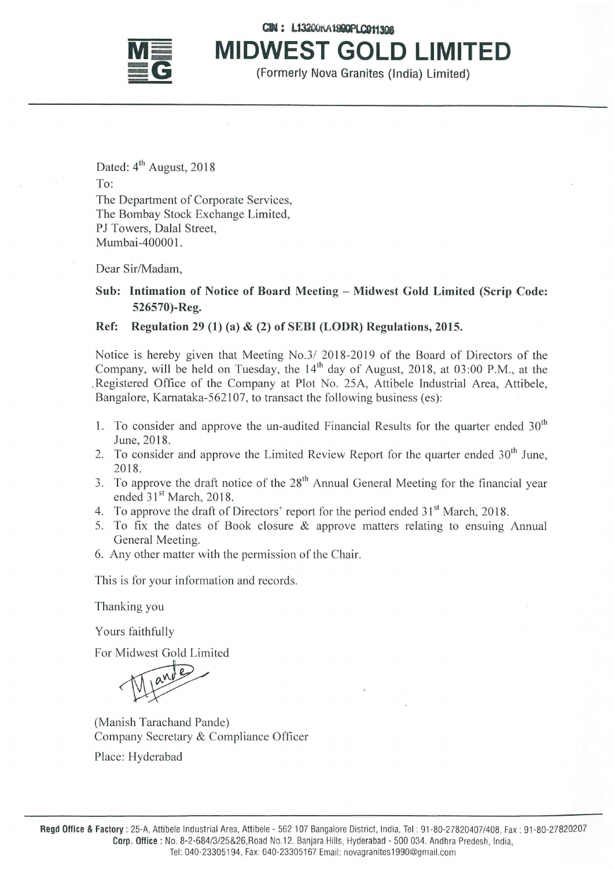

CIN: L13200KA1900PLO011308 **MIDWEST GOLD LIMITED** 

(Formerly Nova Granites (India) Limited)

Dated:  $4<sup>th</sup>$  August, 2018 To: The Department of Corporate Services, The Bombay Stock Exchange Limited, PJ Towers, Dalal Street, Mumbai-400001.

Dear Sir/Madam,

## Sub: Intimation of Notice of Board Meeting - Midwest Gold Limited (Scrip Code: 526570)-Reg.

## Ref: Regulation 29 (1) (a) & (2) of SEBI (LODR) Regulations, 2015.

Notice is hereby given that Meeting No.3/ 2018-2019 of the Board of Directors of the Company, will be held on Tuesday, the  $14<sup>th</sup>$  day of August, 2018, at 03:00 P.M., at the . Registered Office of the Company at Plot No. *2SA,* Attibele Industrial Area, Attibele, Bangalore, Karnataka-S62107, to transact the following business (es):

- 1. To consider and approve the un-audited Financial Results for the quarter ended  $30<sup>th</sup>$ June, 2018.
- 2. To consider and approve the Limited Review Report for the quarter ended  $30<sup>th</sup>$  June, 2018.
- 3. To approve the draft notice of the  $28<sup>th</sup>$  Annual General Meeting for the financial year ended  $31<sup>st</sup>$  March, 2018.
- 4. To approve the draft of Directors' report for the period ended  $31<sup>st</sup>$  March, 2018.
- 5. To fix the dates of Book closure & approve matters relating to ensuing Annual General Meeting.
- 6. Any other matter with the permission of the Chair.

This is for your information and records.

Thanking you

Yours faithfully

For Midwest Gold Limited

S Tannuny<br>Midwest Gold Limited<br>The Mande)<br>Tarachand Pande)

(Manish Tarachand Pande) Company Secretary & Compliance Officer

Place: Hyderabad